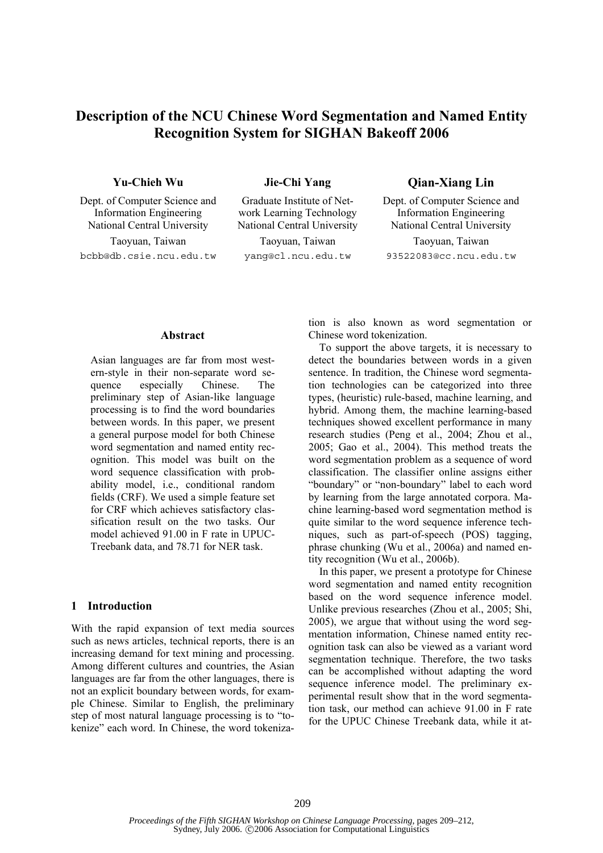# **Description of the NCU Chinese Word Segmentation and Named Entity Recognition System for SIGHAN Bakeoff 2006**

Dept. of Computer Science and Information Engineering National Central University National Central University National Central University

bcbb@db.csie.ncu.edu.tw yang@cl.ncu.edu.tw 93522083@cc.ncu.edu.tw

Graduate Institute of Network Learning Technology

Taoyuan, Taiwan Taoyuan, Taiwan Taoyuan, Taiwan

**Yu-Chieh Wu Jie-Chi Yang Qian-Xiang Lin** 

Dept. of Computer Science and Information Engineering

### **Abstract**

Asian languages are far from most western-style in their non-separate word sequence especially Chinese. The preliminary step of Asian-like language processing is to find the word boundaries between words. In this paper, we present a general purpose model for both Chinese word segmentation and named entity recognition. This model was built on the word sequence classification with probability model, i.e., conditional random fields (CRF). We used a simple feature set for CRF which achieves satisfactory classification result on the two tasks. Our model achieved 91.00 in F rate in UPUC-Treebank data, and 78.71 for NER task.

## **1 Introduction**

With the rapid expansion of text media sources such as news articles, technical reports, there is an increasing demand for text mining and processing. Among different cultures and countries, the Asian languages are far from the other languages, there is not an explicit boundary between words, for example Chinese. Similar to English, the preliminary step of most natural language processing is to "tokenize" each word. In Chinese, the word tokenization is also known as word segmentation or Chinese word tokenization.

To support the above targets, it is necessary to detect the boundaries between words in a given sentence. In tradition, the Chinese word segmentation technologies can be categorized into three types, (heuristic) rule-based, machine learning, and hybrid. Among them, the machine learning-based techniques showed excellent performance in many research studies (Peng et al., 2004; Zhou et al., 2005; Gao et al., 2004). This method treats the word segmentation problem as a sequence of word classification. The classifier online assigns either "boundary" or "non-boundary" label to each word by learning from the large annotated corpora. Machine learning-based word segmentation method is quite similar to the word sequence inference techniques, such as part-of-speech (POS) tagging, phrase chunking (Wu et al., 2006a) and named entity recognition (Wu et al., 2006b).

In this paper, we present a prototype for Chinese word segmentation and named entity recognition based on the word sequence inference model. Unlike previous researches (Zhou et al., 2005; Shi, 2005), we argue that without using the word segmentation information, Chinese named entity recognition task can also be viewed as a variant word segmentation technique. Therefore, the two tasks can be accomplished without adapting the word sequence inference model. The preliminary experimental result show that in the word segmentation task, our method can achieve 91.00 in F rate for the UPUC Chinese Treebank data, while it at-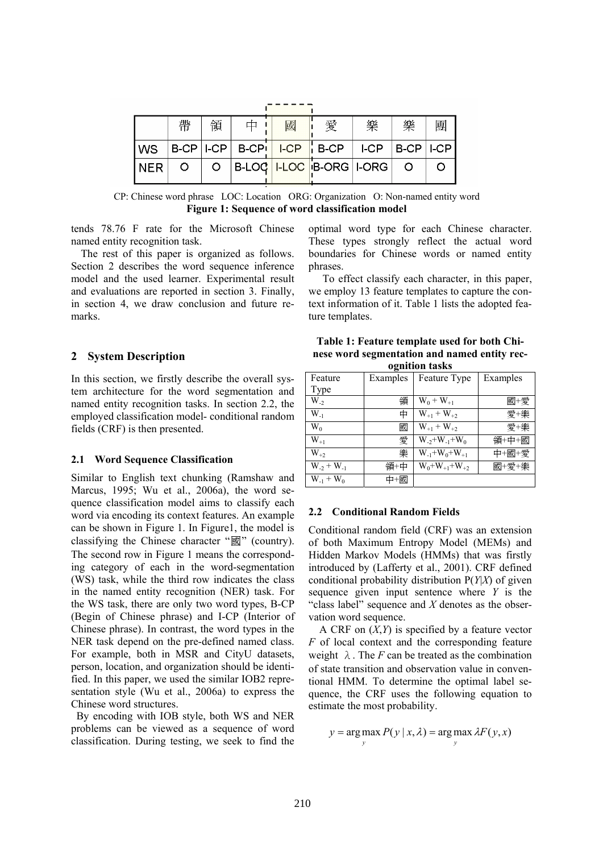|             | 帶 | 領       | 國 | 愛                                         | 樂 | 樂 | 團 |
|-------------|---|---------|---|-------------------------------------------|---|---|---|
|             |   |         |   | $ WS B-CP ICP B-CP ICP ICP B-CP ICP ICP $ |   |   |   |
| <b>INER</b> |   | $\circ$ |   | B-LOC   I-LOC   B-ORG   I-ORG   O         |   |   |   |

CP: Chinese word phrase LOC: Location ORG: Organization O: Non-named entity word **Figure 1: Sequence of word classification model** 

tends 78.76 F rate for the Microsoft Chinese named entity recognition task.

The rest of this paper is organized as follows. Section 2 describes the word sequence inference model and the used learner. Experimental result and evaluations are reported in section 3. Finally, in section 4, we draw conclusion and future remarks.

## **2 System Description**

In this section, we firstly describe the overall system architecture for the word segmentation and named entity recognition tasks. In section 2.2, the employed classification model- conditional random fields (CRF) is then presented.

### **2.1 Word Sequence Classification**

Similar to English text chunking (Ramshaw and Marcus, 1995; Wu et al., 2006a), the word sequence classification model aims to classify each word via encoding its context features. An example can be shown in Figure 1. In Figure1, the model is classifying the Chinese character "國" (country). The second row in Figure 1 means the corresponding category of each in the word-segmentation (WS) task, while the third row indicates the class in the named entity recognition (NER) task. For the WS task, there are only two word types, B-CP (Begin of Chinese phrase) and I-CP (Interior of Chinese phrase). In contrast, the word types in the NER task depend on the pre-defined named class. For example, both in MSR and CityU datasets, person, location, and organization should be identified. In this paper, we used the similar IOB2 representation style (Wu et al., 2006a) to express the Chinese word structures.

 By encoding with IOB style, both WS and NER problems can be viewed as a sequence of word classification. During testing, we seek to find the optimal word type for each Chinese character. These types strongly reflect the actual word boundaries for Chinese words or named entity phrases.

To effect classify each character, in this paper, we employ 13 feature templates to capture the context information of it. Table 1 lists the adopted feature templates.

| Table 1: Feature template used for both Chi- |
|----------------------------------------------|
| nese word segmentation and named entity rec- |
| ognition tasks                               |

| Feature        | Examples | Feature Type                | Examples |
|----------------|----------|-----------------------------|----------|
| Type           |          |                             |          |
| $W_{22}$       | 領        | $W_0 + W_{+1}$              | 國+愛      |
| $W_{-1}$       | 中        | $W_{+1} + W_{+2}$           | 愛+樂      |
| $W_0$          | 國        | $W_{+1} + W_{+2}$           | 愛+樂      |
| $W_{+1}$       | 愛        | $W_{2} + W_{1} + W_{0}$     | 領+中+國    |
| $W_{+2}$       | 樂        | $W_{-1}$ + $W_0$ + $W_{+1}$ | 中+國+愛    |
| $W_2 + W_1$    | 領+中      | $W_0+W_{+1}+W_{+2}$         | 國+愛+樂    |
| $W_{-1} + W_0$ | 中+國      |                             |          |

### **2.2 Conditional Random Fields**

Conditional random field (CRF) was an extension of both Maximum Entropy Model (MEMs) and Hidden Markov Models (HMMs) that was firstly introduced by (Lafferty et al., 2001). CRF defined conditional probability distribution P(*Y*|*X*) of given sequence given input sentence where *Y* is the "class label" sequence and *X* denotes as the observation word sequence.

A CRF on (*X*,*Y*) is specified by a feature vector *F* of local context and the corresponding feature weight  $\lambda$ . The *F* can be treated as the combination of state transition and observation value in conventional HMM. To determine the optimal label sequence, the CRF uses the following equation to estimate the most probability.

$$
y = \arg \max_{y} P(y | x, \lambda) = \arg \max_{y} \lambda F(y, x)
$$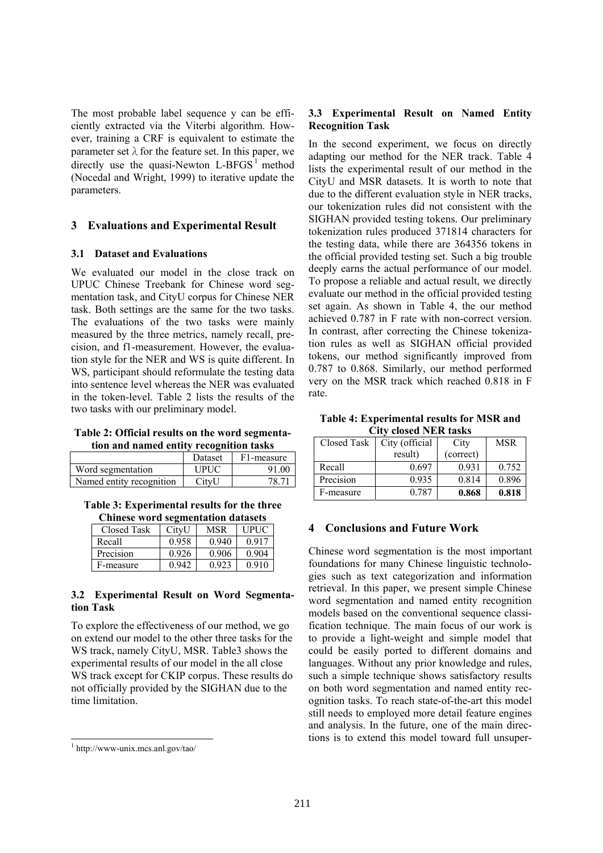The most probable label sequence y can be efficiently extracted via the Viterbi algorithm. However, training a CRF is equivalent to estimate the parameter set  $\lambda$  for the feature set. In this paper, we directly use the quasi-Newton  $L-BFGS<sup>1</sup>$  method (Nocedal and Wright, 1999) to iterative update the parameters.

# **3 Evaluations and Experimental Result**

## **3.1 Dataset and Evaluations**

We evaluated our model in the close track on UPUC Chinese Treebank for Chinese word segmentation task, and CityU corpus for Chinese NER task. Both settings are the same for the two tasks. The evaluations of the two tasks were mainly measured by the three metrics, namely recall, precision, and f1-measurement. However, the evaluation style for the NER and WS is quite different. In WS, participant should reformulate the testing data into sentence level whereas the NER was evaluated in the token-level. Table 2 lists the results of the two tasks with our preliminary model.

**Table 2: Official results on the word segmentation and named entity recognition tasks**

|                          | Dataset | F1-measure |
|--------------------------|---------|------------|
| Word segmentation        | UPUC    | 91.00      |
| Named entity recognition | CityU   |            |

**Table 3: Experimental results for the three Chinese word segmentation datasets**

| Closed Task | CitvU | MSR   | I IPI I $\cap$ |
|-------------|-------|-------|----------------|
| Recall      | 0.958 | 0.940 | 0.917          |
| Precision   | 0.926 | 0.906 | 0.904          |
| F-measure   |       | 0.923 |                |

## **3.2 Experimental Result on Word Segmentation Task**

To explore the effectiveness of our method, we go on extend our model to the other three tasks for the WS track, namely CityU, MSR. Table3 shows the experimental results of our model in the all close WS track except for CKIP corpus. These results do not officially provided by the SIGHAN due to the time limitation.

# **3.3 Experimental Result on Named Entity Recognition Task**

In the second experiment, we focus on directly adapting our method for the NER track. Table 4 lists the experimental result of our method in the CityU and MSR datasets. It is worth to note that due to the different evaluation style in NER tracks, our tokenization rules did not consistent with the SIGHAN provided testing tokens. Our preliminary tokenization rules produced 371814 characters for the testing data, while there are 364356 tokens in the official provided testing set. Such a big trouble deeply earns the actual performance of our model. To propose a reliable and actual result, we directly evaluate our method in the official provided testing set again. As shown in Table 4, the our method achieved 0.787 in F rate with non-correct version. In contrast, after correcting the Chinese tokenization rules as well as SIGHAN official provided tokens, our method significantly improved from 0.787 to 0.868. Similarly, our method performed very on the MSR track which reached 0.818 in F rate.

**Table 4: Experimental results for MSR and City closed NER tasks**

| Closed Task | City (official | City      | <b>MSR</b> |  |  |
|-------------|----------------|-----------|------------|--|--|
|             | result)        | (correct) |            |  |  |
| Recall      | 0.697          | 0.931     | 0.752      |  |  |
| Precision   | 0.935          | 0.814     | 0.896      |  |  |
| F-measure   | 0.787          | 0.868     | 0.818      |  |  |

# **4 Conclusions and Future Work**

Chinese word segmentation is the most important foundations for many Chinese linguistic technologies such as text categorization and information retrieval. In this paper, we present simple Chinese word segmentation and named entity recognition models based on the conventional sequence classification technique. The main focus of our work is to provide a light-weight and simple model that could be easily ported to different domains and languages. Without any prior knowledge and rules, such a simple technique shows satisfactory results on both word segmentation and named entity recognition tasks. To reach state-of-the-art this model still needs to employed more detail feature engines and analysis. In the future, one of the main directions is to extend this model toward full unsuper-

 1 http://www-unix.mcs.anl.gov/tao/